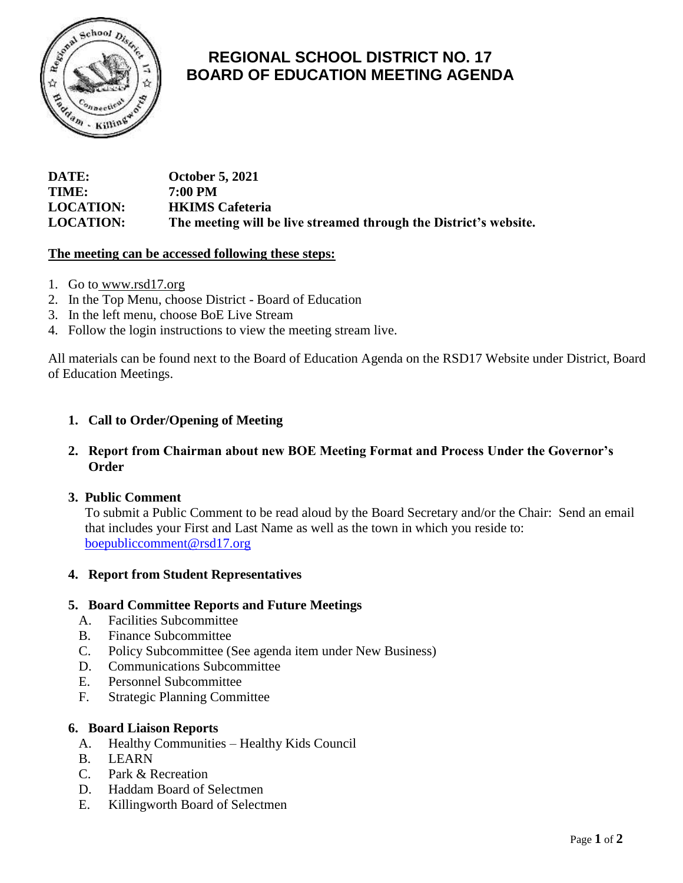

# **REGIONAL SCHOOL DISTRICT NO. 17 BOARD OF EDUCATION MEETING AGENDA**

| DATE:            | <b>October 5, 2021</b>                                            |
|------------------|-------------------------------------------------------------------|
| TIME:            | 7:00 PM                                                           |
| <b>LOCATION:</b> | <b>HKIMS</b> Cafeteria                                            |
| <b>LOCATION:</b> | The meeting will be live streamed through the District's website. |

# **The meeting can be accessed following these steps:**

- 1. Go to [www.rsd17.org](http://www.rsd17.org/)
- 2. In the Top Menu, choose District Board of Education
- 3. In the left menu, choose BoE Live Stream
- 4. Follow the login instructions to view the meeting stream live.

All materials can be found next to the Board of Education Agenda on the RSD17 Website under District, Board of Education Meetings.

# **1. Call to Order/Opening of Meeting**

# **2. Report from Chairman about new BOE Meeting Format and Process Under the Governor's Order**

# **3. Public Comment**

 To submit a Public Comment to be read aloud by the Board Secretary and/or the Chair: Send an email that includes your First and Last Name as well as the town in which you reside to: [boepubliccomment@rsd17.org](mailto:boepubliccomment@rsd17.org)

# **4. Report from Student Representatives**

#### **5. Board Committee Reports and Future Meetings**

- A. Facilities Subcommittee
- B. Finance Subcommittee
- C. Policy Subcommittee (See agenda item under New Business)
- D. Communications Subcommittee
- E. Personnel Subcommittee
- F. Strategic Planning Committee

#### **6. Board Liaison Reports**

- A. Healthy Communities Healthy Kids Council
- B. LEARN
- C. Park & Recreation
- D. Haddam Board of Selectmen
- E. Killingworth Board of Selectmen